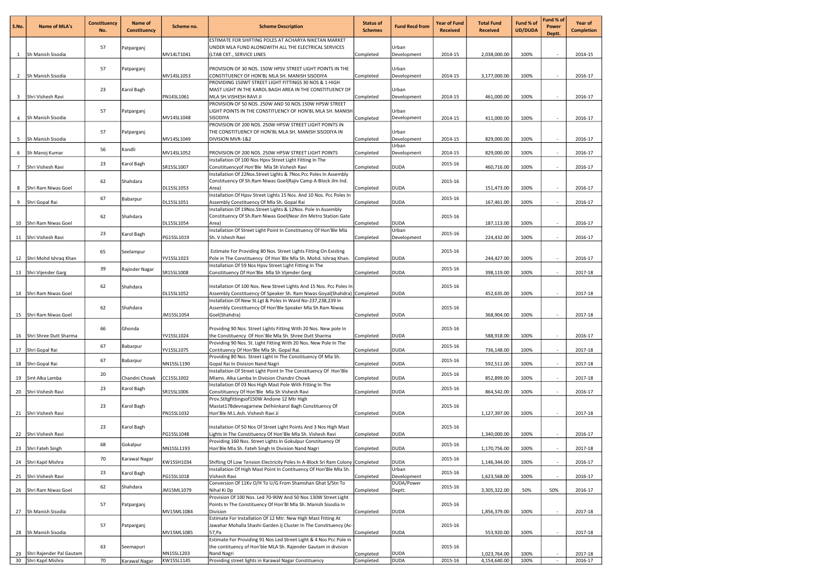| S.No.          | <b>Name of MLA's</b>        | <b>Constituency</b><br>No. | Name of<br><b>Constituency</b> | Scheme no. | <b>Scheme Description</b>                                                                                                                      | <b>Status of</b><br><b>Schemes</b> | <b>Fund Recd from</b> | <b>Year of Fund</b><br><b>Received</b> | <b>Total Fund</b><br><b>Received</b> | Fund % of<br><b>UD/DUDA</b> | Fund % of<br>Power<br>Deptt. | Year of<br><b>Completion</b> |
|----------------|-----------------------------|----------------------------|--------------------------------|------------|------------------------------------------------------------------------------------------------------------------------------------------------|------------------------------------|-----------------------|----------------------------------------|--------------------------------------|-----------------------------|------------------------------|------------------------------|
|                |                             |                            |                                |            | ESTIMATE FOR SHIFTING POLES AT ACHARYA NIKETAN MARKET                                                                                          |                                    |                       |                                        |                                      |                             |                              |                              |
|                | 1 Sh Manish Sisodia         | 57                         | Patparganj                     | MV14LT1041 | UNDER MLA FUND ALONGWITH ALL THE ELECTRICAL SERVICES<br>(LTAB CKT., SERVICE LINES                                                              | Completed                          | Urban<br>Development  | 2014-15                                | 2,038,000.00                         | 100%                        | $\sim$                       | 2014-15                      |
|                |                             |                            |                                |            |                                                                                                                                                |                                    |                       |                                        |                                      |                             |                              |                              |
|                |                             | 57                         | Patparganj                     |            | PROVISION OF 30 NOS. 150W HPSV STREET LIGHT POINTS IN THE                                                                                      |                                    | Urban                 |                                        |                                      |                             |                              |                              |
|                | 2 Sh Manish Sisodia         |                            |                                | MV14SL1053 | CONSTITUENCY OF HON'BL MLA SH. MANISH SISODIYA<br>PROVIDING 150WT STREET LIGHT FITTINGS 30 NOS & 1 HIGH                                        | Completed                          | Development           | 2014-15                                | 3,177,000.00                         | 100%                        | $\sim$                       | 2016-17                      |
|                |                             | 23                         | Karol Bagh                     |            | MAST LIGHT IN THE KAROL BAGH AREA IN THE CONSTITUENCY OF                                                                                       |                                    | Urban                 |                                        |                                      |                             |                              |                              |
|                | 3 Shri Vishesh Ravi         |                            |                                | PN14SL1061 | MLA SH.VISHESH RAVI JI<br>PROVISION OF 50 NOS. 250W AND 50 NOS.150W HPSW STREET                                                                | Completed                          | Development           | 2014-15                                | 461,000.00                           | 100%                        |                              | 2016-17                      |
|                |                             | 57                         | Patparganj                     |            | LIGHT POINTS IN THE CONSTITUENCY OF HON'BL MLA SH. MANISH                                                                                      |                                    | Urban                 |                                        |                                      |                             |                              |                              |
|                | 4 Sh Manish Sisodia         |                            |                                | MV14SL1048 | SISODIYA                                                                                                                                       | Completed                          | Development           | 2014-15                                | 411,000.00                           | 100%                        |                              | 2016-17                      |
|                |                             | 57                         | Patparganj                     |            | PROVISION OF 200 NOS. 250W HPSW STREET LIGHT POINTS IN<br>THE CONSTITUENCY OF HON'BL MLA SH. MANISH SISODIYA IN                                |                                    | Urban                 |                                        |                                      |                             |                              |                              |
|                | 5 Sh Manish Sisodia         |                            |                                | MV14SL1049 | DIVISION MVR-1&2                                                                                                                               | Completed                          | Development           | 2014-15                                | 829,000.00                           | 100%                        |                              | 2016-17                      |
|                |                             | 56                         | Kondli                         |            |                                                                                                                                                |                                    | Urban                 |                                        |                                      |                             |                              |                              |
|                | 6 Sh Manoj Kumar            |                            |                                | MV14SL1052 | PROVISION OF 200 NOS. 250W HPSW STREET LIGHT POINTS<br>Installation Of 100 Nos Hpsy Street Light Fitting In The                                | Completed                          | Development           | 2014-15                                | 829,000.00                           | 100%                        | $\sim$                       | 2016-17                      |
| 7 <sup>7</sup> | Shri Vishesh Ravi           | 23                         | Karol Bagh                     | SR15SL1007 | Consitituency of Hon'Ble Mla Sh Vishesh Ravi                                                                                                   | Completed                          | <b>DUDA</b>           | 2015-16                                | 460,716.00                           | 100%                        | $\sim$                       | 2016-17                      |
|                |                             | 62                         |                                |            | Installation Of 22Nos. Street Lights & 7Nos. Pcc Poles In Assembly<br>Constituency Of Sh.Ram Niwas Goel(Rajiv Camp A-Block Jlm Ind.            |                                    |                       | 2015-16                                |                                      |                             |                              |                              |
|                | 8 Shri Ram Niwas Goel       |                            | Shahdara                       | DL15SL1053 | Area)                                                                                                                                          | Completed                          | <b>DUDA</b>           |                                        | 151,473.00                           | 100%                        |                              | 2016-17                      |
|                |                             | 67                         | Babarpur                       |            | Installation Of Hpsv Street Lights 15 Nos. And 10 Nos. Pcc Poles In                                                                            |                                    |                       | 2015-16                                |                                      |                             |                              |                              |
|                | 9 Shri Gopal Rai            |                            |                                | DL15SL1051 | Assembly Constituency Of Mla Sh. Gopal Rai<br>Installation Of 19Nos.Street Lights & 12Nos. Pole In Assembly                                    | Completed                          | <b>DUDA</b>           |                                        | 167,461.00                           | 100%                        | $\sim$                       | 2016-17                      |
|                |                             | 62                         | Shahdara                       |            | Constituency Of Sh.Ram Niwas Goel(Near Jlm Metro Station Gate                                                                                  |                                    |                       | 2015-16                                |                                      |                             |                              |                              |
|                | 10 Shri Ram Niwas Goel      |                            |                                | DL15SL1054 | Area)                                                                                                                                          | Completed                          | <b>DUDA</b>           |                                        | 187,113.00                           | 100%                        |                              | 2016-17                      |
|                | 11 Shri Vishesh Ravi        | 23                         | Karol Bagh                     | PG15SL1019 | Installation Of Street Light Point In Constituency Of Hon'Ble Mla<br>Sh. V Ishesh Ravi                                                         | Completed                          | Urban<br>Development  | 2015-16                                | 224,432.00                           | 100%                        | $\sim$                       | 2016-17                      |
|                |                             |                            |                                |            |                                                                                                                                                |                                    |                       |                                        |                                      |                             |                              |                              |
|                |                             | 65                         | Seelampur                      |            | Estimate For Providing 80 Nos. Street Lights Fitting On Existing                                                                               |                                    |                       | 2015-16                                |                                      |                             |                              |                              |
|                | 12 Shri Mohd Ishraq Khan    |                            |                                | YV15SL1023 | Pole in The Constituency Of Hon'Ble Mla Sh. Mohd. Ishraq Khan.<br>Installation Of 59 Nos Hpsv Street Light Fitting In The                      | Completed                          | <b>DUDA</b>           |                                        | 244,427.00                           | 100%                        | $\sim$                       | 2016-17                      |
|                | 13 Shri Vijender Garg       | 39                         | Rajinder Nagar                 | SR15SL1008 | Consitituency Of Hon'Ble Mla Sh Vijender Gerg                                                                                                  | Completed                          | <b>DUDA</b>           | 2015-16                                | 398,119.00                           | 100%                        |                              | 2017-18                      |
|                |                             |                            |                                |            |                                                                                                                                                |                                    |                       |                                        |                                      |                             |                              |                              |
|                | 14   Shri Ram Niwas Goel    | 62                         | Shahdara                       | DL15SL1052 | Installation Of 100 Nos. New Street Lights And 15 Nos. Pcc Poles In<br>Assembly Constituency Of Speaker Sh. Ram Niwas Goyal(Shahdra) Completed |                                    | <b>DUDA</b>           | 2015-16                                | 452,635.00                           | 100%                        | $\sim$                       | 2017-18                      |
|                |                             |                            |                                |            | Installation Of New St.Lgt & Poles In Ward No-237,238,239 In                                                                                   |                                    |                       |                                        |                                      |                             |                              |                              |
|                |                             | 62                         | Shahdara                       |            | Assembly Constituency Of Hon'Ble Speaker Mla Sh.Ram Niwas                                                                                      |                                    |                       | 2015-16                                |                                      | 100%                        |                              | 2017-18                      |
|                | 15 Shri Ram Niwas Goel      |                            |                                | JM15SL1054 | Goel(Shahdra)                                                                                                                                  | Completed                          | DUDA                  |                                        | 368,904.00                           |                             |                              |                              |
|                |                             | 66                         | Ghonda                         |            | Providing 90 Nos. Street Lights Fitting With 20 Nos. New pole In                                                                               |                                    |                       | 2015-16                                |                                      |                             |                              |                              |
|                | 16 Shri Shree Dutt Sharma   |                            |                                | YV15SL1024 | the Constituency Of Hon'Ble Mla Sh. Shree Dutt Sharma<br>Providing 90 Nos. St. Light Fitting With 20 Nos. New Pole In The                      | Completed                          | <b>DUDA</b>           |                                        | 588,918.00                           | 100%                        |                              | 2016-17                      |
|                | 17 Shri Gopal Rai           | 67                         | Babarpur                       | YV15SL1075 | Contituency Of Hon'Ble Mla Sh. Gopal Rai.                                                                                                      | Completed                          | DUDA                  | 2015-16                                | 736,148.00                           | 100%                        | $\sim$                       | 2017-18                      |
|                |                             | 67                         | Babarpur                       |            | Providing 80 Nos. Street Light In The Constituency Of Mla Sh.                                                                                  |                                    |                       | 2015-16                                |                                      |                             |                              |                              |
|                | 18 Shri Gopal Rai           |                            |                                | NN15SL1190 | Gopal Rai In Division Nand Nagri<br>Installation Of Street Light Point In The Constituency Of Hon'Ble                                          | Completed                          | DUDA                  |                                        | 592,511.00                           | 100%                        | $\overline{\phantom{a}}$     | 2017-18                      |
|                | 19 Smt Alka Lamba           | 20                         | Chandni Chowk                  | CC15SL1002 | Mlams. Alka Lamba In Division Chandni Chowk                                                                                                    | Completed                          | <b>DUDA</b>           | 2015-16                                | 852,899.00                           | 100%                        |                              | 2017-18                      |
|                |                             | 23                         | Karol Bagh                     |            | Installation Of 03 Nos High Mast Pole With Fitting In The                                                                                      |                                    |                       | 2015-16                                |                                      |                             |                              |                              |
|                | 20 Shri Vishesh Ravi        |                            |                                | SR15SL1006 | Consitituency Of Hon'Ble Mla Sh Vishesh Ravi<br>Prov.Stltgfittingsof150W Andone 12 Mtr High                                                    | Completed                          | <b>DUDA</b>           |                                        | 864,542.00                           | 100%                        |                              | 2016-17                      |
|                |                             | 23                         | Karol Bagh                     |            | Mastat17Bdevnagarnew Delhiinkarol Bagh Constituency Of                                                                                         |                                    |                       | 2015-16                                |                                      |                             |                              |                              |
|                | 21 Shri Vishesh Ravi        |                            |                                | PN15SL1032 | Hon'Ble M.L.Ash. Vishesh Ravi Ji                                                                                                               | Completed                          | <b>DUDA</b>           |                                        | 1,127,397.00                         | 100%                        |                              | 2017-18                      |
|                |                             | 23                         | Karol Bagh                     |            | Installation Of 50 Nos Of Street Light Points And 3 Nos High Mast                                                                              |                                    |                       | 2015-16                                |                                      |                             |                              |                              |
|                | 22 Shri Vishesh Ravi        |                            |                                | PG15SL1048 | Lights In The Constituency Of Hon'Ble Mla Sh. Vishesh Ravi                                                                                     | Completed                          | <b>DUDA</b>           |                                        | 1,340,000.00                         | 100%                        |                              | 2016-17                      |
|                | 23 Shri Fateh Singh         | 68                         | Gokalpur                       | NN15SL1193 | Providing 160 Nos. Street Lights In Gokulpur Constituency Of<br>Hon'Ble Mla Sh. Fateh Singh In Division Nand Nagri                             | Completed                          | <b>DUDA</b>           | 2015-16                                | 1,170,756.00                         | 100%                        |                              | 2017-18                      |
|                |                             | 70                         | Karawal Nagar                  |            |                                                                                                                                                |                                    |                       | 2015-16                                |                                      |                             |                              |                              |
|                | 24 Shri Kapil Mishra        |                            |                                | KW15SH1034 | Shifting Of Low Tension Electricity Poles In A-Block Sri Ram Colony Completed                                                                  |                                    | <b>DUDA</b>           |                                        | 1,146,344.00                         | 100%                        |                              | 2016-17                      |
|                | 25 Shri Vishesh Ravi        | 23                         | Karol Bagh                     | PG15SL1018 | Installation Of High Mast Point In Contituency Of Hon'Ble Mla Sh.<br>Vishesh Ravi                                                              | Completed                          | Urban<br>Development  | 2015-16                                | 1,623,568.00                         | 100%                        |                              | 2016-17                      |
|                |                             | 62                         | Shahdara                       |            | Conversion Of 11Kv O/H To U/G From Shamshan Ghat S/Stn To                                                                                      |                                    | DUDA/Power            | 2015-16                                |                                      |                             |                              |                              |
|                | 26 Shri Ram Niwas Goel      |                            |                                | JM15ML1079 | Nihal Ki Dp<br>Provision Of 100 Nos. Led 70-90W And 50 Nos 130W Street Light                                                                   | Completed                          | Deptt.                |                                        | 3,305,322.00                         | 50%                         | 50%                          | 2016-17                      |
|                |                             | 57                         | Patparganj                     |            | Points In The Constituency Of Hon'Bl Mla Sh. Manish Sisodia In                                                                                 |                                    |                       | 2015-16                                |                                      |                             |                              |                              |
|                | 27 Sh Manish Sisodia        |                            |                                | MV15ML1084 | Division                                                                                                                                       | Completed                          | <b>DUDA</b>           |                                        | 1,856,379.00                         | 100%                        | $\sim$                       | 2017-18                      |
|                |                             | 57                         |                                |            | Estimate For Installation Of 12 Mtr. New High Mast Fitting At<br>Jawahar Mohalla Shashi Garden Jj Cluster In The Constituency (Ac-             |                                    |                       | 2015-16                                |                                      |                             |                              |                              |
|                | 28 Sh Manish Sisodia        |                            | Patparganj                     | MV15ML1085 | 57, Pa                                                                                                                                         | Completed                          | <b>DUDA</b>           |                                        | 553,920.00                           | 100%                        | $\sim$                       | 2017-18                      |
|                |                             |                            |                                |            | Estimate For Providing 91 Nos Led Street Light & 4 Nos Pcc Pole in                                                                             |                                    |                       |                                        |                                      |                             |                              |                              |
|                | 29 Shri Rajender Pal Gautam | 63                         | Seemapuri                      | NN15SL1203 | the contituency of Hon'ble MLA Sh. Rajender Gautam in division<br>Nand Nagri                                                                   | Completed                          | DUDA                  | 2015-16                                | 1,023,764.00                         | 100%                        |                              | 2017-18                      |
|                | 30 Shri Kapil Mishra        | 70                         | Karawal Nagar                  | KW15SL1145 | Providing street lights in Karawal Nagar Constituency                                                                                          | Completed                          | <b>DUDA</b>           | 2015-16                                | 4,154,640.00                         | 100%                        |                              | 2016-17                      |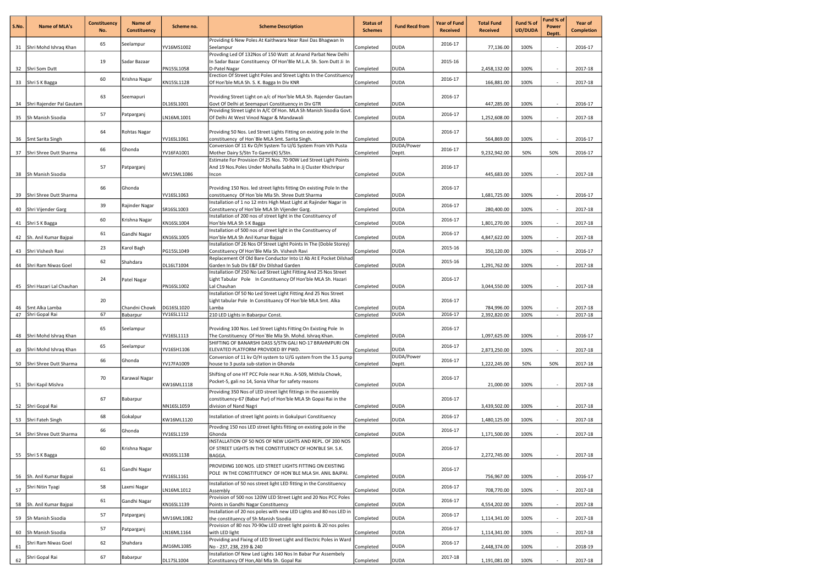| S.No.    | Name of MLA's                    | <b>Constituency</b><br>No. | Name of<br>Constituency   | Scheme no.               | <b>Scheme Description</b>                                                                                                                                  | <b>Status of</b><br><b>Schemes</b> | <b>Fund Recd from</b>      | <b>Year of Fund</b><br><b>Received</b> | <b>Total Fund</b><br><b>Received</b> | Fund % of<br><b>UD/DUDA</b> | Fund % of<br>Power<br>Deptt. | Year of<br><b>Completion</b> |
|----------|----------------------------------|----------------------------|---------------------------|--------------------------|------------------------------------------------------------------------------------------------------------------------------------------------------------|------------------------------------|----------------------------|----------------------------------------|--------------------------------------|-----------------------------|------------------------------|------------------------------|
|          | 31 Shri Mohd Ishraq Khan         | 65                         | Seelampur                 | YV16MS1002               | Providing 6 New Poles At Kaithwara Near Ravi Das Bhagwan In<br>Seelampur                                                                                   | Completed                          | <b>DUDA</b>                | 2016-17                                | 77,136.00                            | 100%                        |                              | 2016-17                      |
|          | 32 Shri Som Dutt                 | 19                         | Sadar Bazaar              | <b>PN15SL1058</b>        | Provding Led Of 132Nos of 150 Watt at Anand Parbat New Delhi<br>In Sadar Bazar Constituency Of Hon'Ble M.L.A. Sh. Som Dutt Ji In<br>D-Patel Nagar          | Completed                          | <b>DUDA</b>                | 2015-16                                | 2,458,132.00                         | 100%                        |                              | 2017-18                      |
|          | 33 Shri S K Bagga                | 60                         | Krishna Nagar             | KN15SL1128               | Erection Of Street Light Poles and Street Lights In the Constituency<br>Of Hon'ble MLA Sh. S. K. Bagga In Div KNR                                          | Completed                          | <b>DUDA</b>                | 2016-17                                | 166,881.00                           | 100%                        |                              | 2017-18                      |
| 34       | Shri Rajender Pal Gautam         | 63                         | Seemapuri                 | DL16SL1001               | Providing Street Light on a/c of Hon'ble MLA Sh. Rajender Gautam<br>Govt Of Delhi at Seemapuri Constituency in Div GTR                                     | Completed                          | <b>DUDA</b>                | 2016-17                                | 447,285.00                           | 100%                        | $\overline{\phantom{a}}$     | 2016-17                      |
|          | 35 Sh Manish Sisodia             | 57                         | Patparganj                | LN16ML1001               | Providing Street Light In A/C Of Hon. MLA Sh Manish Sisodia Govt.<br>Of Delhi At West Vinod Nagar & Mandawali                                              | Completed                          | <b>DUDA</b>                | 2016-17                                | 1,252,608.00                         | 100%                        |                              | 2017-18                      |
|          | 36 Smt Sarita Singh              | 64                         | <b>Rohtas Nagar</b>       | YV16SL1061               | Providing 50 Nos. Led Street Lights Fitting on existing pole In the<br>constituency of Hon'Ble MLA Smt. Sarita Singh.                                      | Completed                          | <b>DUDA</b>                | 2016-17                                | 564,869.00                           | 100%                        |                              | 2016-17                      |
|          | 37 Shri Shree Dutt Sharma        | 66                         | Ghonda                    | YV16FA1001               | Conversion Of 11 Kv O/H System To U/G System From Vth Pusta<br>Mother Dairy S/Stn To Gamri(K) S/Stn.                                                       | Completed                          | DUDA/Power<br>Deptt.       | 2016-17                                | 9,232,942.00                         | 50%                         | 50%                          | 2016-17                      |
| 38       | Sh Manish Sisodia                | 57                         | Patparganj                | MV15ML1086               | Estimate For Provision Of 25 Nos. 70-90W Led Street Light Points<br>And 19 Nos. Poles Under Mohalla Sabha In Jj Cluster Khichripur<br>Incon                | Completed                          | <b>DUDA</b>                | 2016-17                                | 445,683.00                           | 100%                        |                              | 2017-18                      |
| 39       | Shri Shree Dutt Sharma           | 66                         | Ghonda                    | YV16SL1063               | Providing 150 Nos. led street lights fitting On existing Pole In the<br>constituency Of Hon'ble Mla Sh. Shree Dutt Sharma                                  | Completed                          | <b>DUDA</b>                | 2016-17                                | 1,681,725.00                         | 100%                        | $\overline{\phantom{a}}$     | 2016-17                      |
|          | 40 Shri Vijender Garg            | 39                         | Rajinder Nagar            | SR16SL1003               | Installation of 1 no 12 mtrs High Mast Light at Rajinder Nagar in<br>Constituency of Hon'ble MLA Sh Vijender Garg.                                         | Completed                          | <b>DUDA</b>                | 2016-17                                | 280,400.00                           | 100%                        |                              | 2017-18                      |
|          | 41 Shri S K Bagga                | 60                         | Krishna Nagar             | KN16SL1004               | Installation of 200 nos of street light in the Constituency of<br>Hon'ble MLA Sh S K Bagga                                                                 | Completed                          | <b>DUDA</b>                | 2016-17                                | 1,801,270.00                         | 100%                        | $\sim$                       | 2017-18                      |
|          | 42 Sh. Anil Kumar Bajpai         | 61                         | Gandhi Nagar              | KN16SL1005               | Installation of 500 nos of street light in the Constituency of<br>Hon'ble MLA Sh Anil Kumar Bajpai                                                         | Completed                          | <b>DUDA</b>                | 2016-17                                | 4,847,622.00                         | 100%                        | $\sim$                       | 2017-18                      |
|          | 43 Shri Vishesh Ravi             | 23                         | Karol Bagh                | PG15SL1049               | Installation Of 26 Nos Of Street Light Points In The (Doble Storey)<br>Constituency Of Hon'Ble Mla Sh. Vishesh Ravi                                        | Completed                          | <b>DUDA</b>                | 2015-16                                | 350,120.00                           | 100%                        |                              | 2016-17                      |
|          | 44 Shri Ram Niwas Goel           | 62                         | Shahdara                  | DL16LT1004               | Replacement Of Old Bare Conductor Into Lt Ab At E Pocket Dilshad<br>Garden In Sub Div E&F Div Dilshad Garden                                               | Completed                          | <b>DUDA</b>                | 2015-16                                | 1,291,762.00                         | 100%                        |                              | 2017-18                      |
| 45       | Shri Hazari Lal Chauhan          | 24                         | Patel Nagar               | PN16SL1002               | Installation Of 250 No Led Street Light Fitting And 25 Nos Street<br>Light Tabular Pole In Constituency Of Hon'ble MLA Sh. Hazari<br>Lal Chauhan           | Completed                          | <b>DUDA</b>                | 2016-17                                | 3,044,550.00                         | 100%                        | $\overline{\phantom{a}}$     | 2017-18                      |
|          |                                  | 20                         |                           |                          | Installation Of 50 No Led Street Light Fitting And 25 Nos Street<br>Light tabular Pole In Constituancy Of Hon'ble MLA Smt. Alka                            |                                    |                            | 2016-17                                |                                      |                             |                              |                              |
| 46<br>47 | Smt Alka Lamba<br>Shri Gopal Rai | 67                         | Chandni Chowk<br>Babarpur | DG16SL1020<br>YV16SL1112 | Lamba<br>210 LED Lights in Babarpur Const.                                                                                                                 | Completed<br>Completed             | <b>DUDA</b><br><b>DUDA</b> | 2016-17                                | 784,996.00<br>2,392,820.00           | 100%<br>100%                | $\sim$                       | 2017-18<br>2017-18           |
|          | 48 Shri Mohd Ishraq Khan         | 65                         | Seelampur                 | YV16SL1113               | Providing 100 Nos. Led Street Lights Fitting On Existing Pole In<br>The Constituency Of Hon'Ble Mla Sh. Mohd. Ishraq Khan.                                 | Completed                          | <b>DUDA</b>                | 2016-17                                | 1,097,625.00                         | 100%                        |                              | 2016-17                      |
|          | 49 Shri Mohd Ishrag Khan         | 65                         | Seelampur                 | YV16SH1106               | SHIFTING OF BANARSHI DASS S/STN GALI NO-17 BRAHMPURI ON<br>ELEVATED PLATFORM PROVIDED BY PWD.                                                              | Completed                          | <b>DUDA</b>                | 2016-17                                | 2,873,250.00                         | 100%                        | $\sim$                       | 2017-18                      |
|          | 50 Shri Shree Dutt Sharma        | 66                         | Ghonda                    | YV17FA1009               | Conversion of 11 kv O/H system to U/G system from the 3.5 pump<br>house to 3 pusta sub-station in Ghonda                                                   | Completed                          | DUDA/Power<br>Deptt.       | 2016-17                                | 1,222,245.00                         | 50%                         | 50%                          | 2017-18                      |
|          | 51 Shri Kapil Mishra             | 70                         | Karawal Nagar             | KW16ML1118               | Shifting of one HT PCC Pole near H.No. A-509, Mithila Chowk,<br>Pocket-5, gali no 14, Sonia Vihar for safety reasons                                       | Completed                          | <b>DUDA</b>                | 2016-17                                | 21,000.00                            | 100%                        |                              | 2017-18                      |
|          | 52 Shri Gopal Rai                | 67                         | Babarpur                  | NN16SL1059               | Providing 350 Nos of LED street light fittings in the assembly<br>constituency-67 (Babar Pur) of Hon'ble MLA Sh Gopai Rai in the<br>division of Nand Nagri | Completed                          | <b>DUDA</b>                | 2016-17                                | 3,439,502.00                         | 100%                        | $\sim$                       | 2017-18                      |
|          | 53 Shri Fateh Singh              | 68                         | Gokalpur                  | KW16ML1120               | Installation of street light points in Gokulpuri Constituency                                                                                              | Completed                          | <b>DUDA</b>                | 2016-17                                | 1,480,125.00                         | 100%                        | $\sim$                       | 2017-18                      |
|          | 54 Shri Shree Dutt Sharma        | 66                         | Ghonda                    | YV16SL1159               | Provding 150 nos LED street lights fitting on existing pole in the<br>Ghonda                                                                               | Completed                          | <b>DUDA</b>                | 2016-17                                | 1,171,500.00                         | 100%                        |                              | 2017-18                      |
|          | 55 Shri S K Bagga                | 60                         | Krishna Nagar             | KN16SL1138               | INSTALLATION OF 50 NOS OF NEW LIGHTS AND REPL. OF 200 NOS<br>OF STREET LIGHTS IN THE CONSTITUENCY OF HON'BLE SH. S.K.<br>BAGGA.                            | Completed                          | <b>DUDA</b>                | 2016-17                                | 2,272,745.00                         | 100%                        |                              | 2017-18                      |
|          | 56 Sh. Anil Kumar Bajpai         | 61                         | Gandhi Nagar              | YV16SL1161               | PROVIDING 100 NOS. LED STREET LIGHTS FITTING ON EXISTING<br>POLE IN THE CONSTITUENCY OF HON'BLE MLA SH. ANIL BAJPAI.                                       | Completed                          | <b>DUDA</b>                | 2016-17                                | 756,967.00                           | 100%                        |                              | 2016-17                      |
| 57       | Shri Nitin Tyagi                 | 58                         | Laxmi Nagar               | LN16ML1012               | Installation of 50 nos street light LED fitting in the Constituency<br>Assembly                                                                            | Completed                          | <b>DUDA</b>                | 2016-17                                | 708,770.00                           | 100%                        |                              | 2017-18                      |
|          | 58 Sh. Anil Kumar Bajpai         | 61                         | Gandhi Nagar              | KN16SL1139               | Provision of 500 nos 120W LED Street Light and 20 Nos PCC Poles<br>Points in Gandhi Nagar Constituency                                                     | Completed                          | <b>DUDA</b>                | 2016-17                                | 4,554,202.00                         | 100%                        |                              | 2017-18                      |
| 59       | Sh Manish Sisodia                | 57                         | Patparganj                | MV16ML1082               | Installation of 20 nos poles with new LED Lights and 80 nos LED in<br>the constituency of Sh Manish Sisodia                                                | Completed                          | <b>DUDA</b>                | 2016-17                                | 1,114,341.00                         | 100%                        |                              | 2017-18                      |
| 60       | Sh Manish Sisodia                | 57                         | Patparganj                | LN16ML1164               | Provision of 80 nos 70-90w LED street light points & 20 nos poles<br>with LED light                                                                        | Completed                          | <b>DUDA</b>                | 2016-17                                | 1,114,341.00                         | 100%                        | $\sim$                       | 2017-18                      |
| 61       | Shri Ram Niwas Goel              | 62                         | Shahdara                  | JM16ML1085               | Providing and Fixing of LED Street Light and Electric Poles in Ward<br>No - 237, 238, 239 & 240                                                            | Completed                          | <b>DUDA</b>                | 2016-17                                | 2,448,374.00                         | 100%                        |                              | 2018-19                      |
| 62       | Shri Gopal Rai                   | 67                         | Babarpur                  | DL17SL1004               | Installation Of New Led Lights 140 Nos In Babar Pur Assembely<br>Constituancy Of Hon, Abl Mla Sh. Gopal Rai                                                | Completed                          | <b>DUDA</b>                | 2017-18                                | 1,191,081.00                         | 100%                        |                              | 2017-18                      |